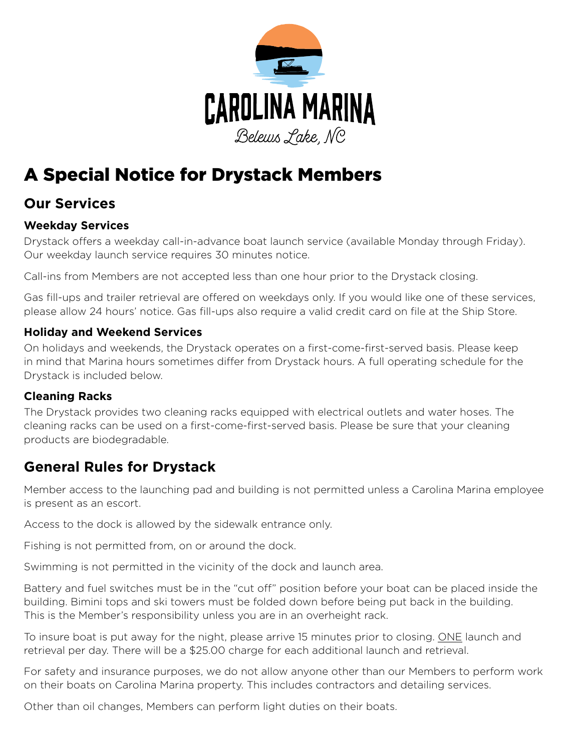

# A Special Notice for Drystack Members

## **Our Services**

#### **Weekday Services**

Drystack offers a weekday call-in-advance boat launch service (available Monday through Friday). Our weekday launch service requires 30 minutes notice.

Call-ins from Members are not accepted less than one hour prior to the Drystack closing.

Gas fill-ups and trailer retrieval are offered on weekdays only. If you would like one of these services, please allow 24 hours' notice. Gas fill-ups also require a valid credit card on file at the Ship Store.

#### **Holiday and Weekend Services**

On holidays and weekends, the Drystack operates on a first-come-first-served basis. Please keep in mind that Marina hours sometimes differ from Drystack hours. A full operating schedule for the Drystack is included below.

#### **Cleaning Racks**

The Drystack provides two cleaning racks equipped with electrical outlets and water hoses. The cleaning racks can be used on a first-come-first-served basis. Please be sure that your cleaning products are biodegradable.

## **General Rules for Drystack**

Member access to the launching pad and building is not permitted unless a Carolina Marina employee is present as an escort.

Access to the dock is allowed by the sidewalk entrance only.

Fishing is not permitted from, on or around the dock.

Swimming is not permitted in the vicinity of the dock and launch area.

Battery and fuel switches must be in the "cut off" position before your boat can be placed inside the building. Bimini tops and ski towers must be folded down before being put back in the building. This is the Member's responsibility unless you are in an overheight rack.

To insure boat is put away for the night, please arrive 15 minutes prior to closing. ONE launch and retrieval per day. There will be a \$25.00 charge for each additional launch and retrieval.

For safety and insurance purposes, we do not allow anyone other than our Members to perform work on their boats on Carolina Marina property. This includes contractors and detailing services.

Other than oil changes, Members can perform light duties on their boats.